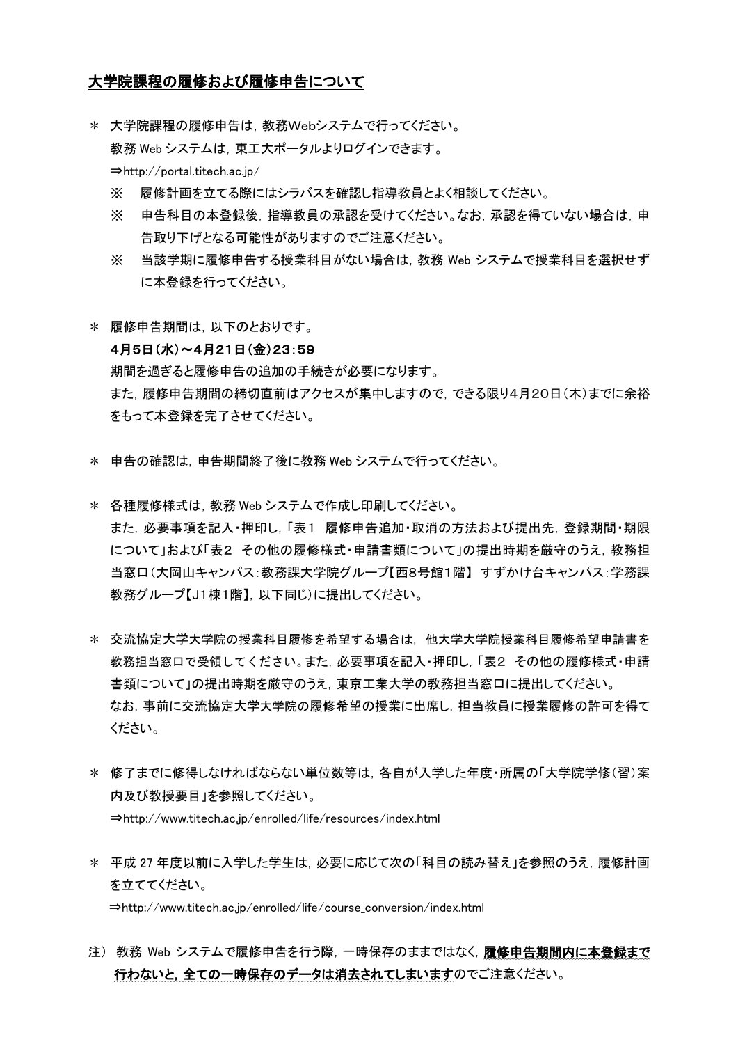## 大学院課程の履修および履修申告について

- \* 大学院課程の履修申告は,教務Webシステムで行ってください。 教務 Web システムは,東工大ポータルよりログインできます。 ⇒http://portal.titech.ac.jp/
	- ※ 履修計画を立てる際にはシラバスを確認し指導教員とよく相談してください。
	- ※ 申告科目の本登録後,指導教員の承認を受けてください。なお,承認を得ていない場合は,申 告取り下げとなる可能性がありますのでご注意ください。
	- ※ 当該学期に履修申告する授業科目がない場合は,教務 Web システムで授業科目を選択せず に本登録を行ってください。
- \* 履修申告期間は,以下のとおりです。

## 4月5日(水)~4月21日(金)23:59

期間を過ぎると履修申告の追加の手続きが必要になります。 また,履修申告期間の締切直前はアクセスが集中しますので,できる限り4月20日(木)までに余裕 をもって本登録を完了させてください。

- \* 申告の確認は,申告期間終了後に教務 Web システムで行ってください。
- \* 各種履修様式は,教務 Web システムで作成し印刷してください。 また,必要事項を記入・押印し,「表1 履修申告追加・取消の方法および提出先,登録期間・期限 について」および「表2 その他の履修様式・申請書類について」の提出時期を厳守のうえ,教務担 当窓口(大岡山キャンパス:教務課大学院グループ【西8号館1階】 すずかけ台キャンパス:学務課 教務グループ【J1棟1階】,以下同じ)に提出してください。
- \* 交流協定大学大学院の授業科目履修を希望する場合は,他大学大学院授業科目履修希望申請書を 教務担当窓口で受領してください。また,必要事項を記入・押印し,「表2 その他の履修様式・申請 書類について」の提出時期を厳守のうえ,東京工業大学の教務担当窓口に提出してください。 なお,事前に交流協定大学大学院の履修希望の授業に出席し,担当教員に授業履修の許可を得て ください。
- \* 修了までに修得しなければならない単位数等は,各自が入学した年度・所属の「大学院学修(習)案 内及び教授要目」を参照してください。 ⇒http://www.titech.ac.jp/enrolled/life/resources/index.html
- \* 平成 27 年度以前に入学した学生は,必要に応じて次の「科目の読み替え」を参照のうえ,履修計画 を立ててください。 ⇒http://www.titech.ac.jp/enrolled/life/course\_conversion/index.html
- 注) 教務 Web システムで履修申告を行う際,一時保存のままではなく,履修申告期間内に本登録まで 行わないと、全ての一時保存のデータは消去されてしまいますのでご注意ください。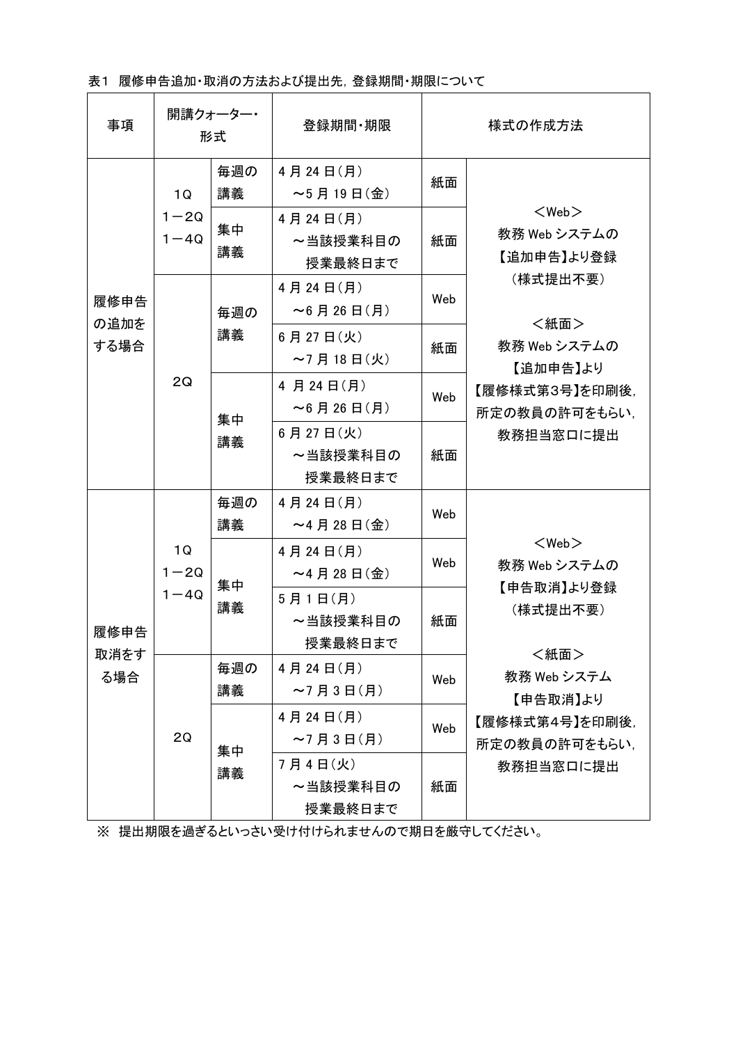表1 履修申告追加・取消の方法および提出先,登録期間・期限について

| 事項                   | 開講クォーター・<br>形式             |           | 登録期間 期限                         | 様式の作成方法 |                                                                                                                                           |
|----------------------|----------------------------|-----------|---------------------------------|---------|-------------------------------------------------------------------------------------------------------------------------------------------|
| 履修申告<br>の追加を<br>する場合 | 1Q<br>$1 - 2Q$<br>$1 - 4Q$ | 毎週の<br>講義 | 4月24日(月)<br>$\sim$ 5月19日(金)     | 紙面      | $<$ Web $>$<br>教務 Web システムの<br>【追加申告】より登録<br>(様式提出不要)<br><紙面><br>教務 Web システムの<br>【追加申告】より<br>【履修様式第3号】を印刷後,<br>所定の教員の許可をもらい、<br>教務担当窓口に提出 |
|                      |                            | 集中<br>講義  | 4月24日(月)<br>~当該授業科目の<br>授業最終日まで | 紙面      |                                                                                                                                           |
|                      | 2Q                         | 毎週の<br>講義 | 4月24日(月)<br>$~\sim$ 6月26日(月)    | Web     |                                                                                                                                           |
|                      |                            |           | 6月27日(火)<br>$\sim$ 7月18日(火)     | 紙面      |                                                                                                                                           |
|                      |                            | 集中<br>講義  | 4 月 24 日(月)<br>$~16$ 月 26 日(月)  | Web     |                                                                                                                                           |
|                      |                            |           | 6月27日(火)<br>~当該授業科目の<br>授業最終日まで | 紙面      |                                                                                                                                           |
| 履修申告<br>取消をす<br>る場合  | 1Q<br>$1 - 2Q$<br>$1 - 4Q$ | 毎週の<br>講義 | 4月24日(月)<br>$~\sim$ 4月28日(金)    | Web     | $<$ Web $>$<br>教務 Web システムの<br>【申告取消】より登録<br>(様式提出不要)<br><紙面><br>教務 Web システム<br>【申告取消】より<br>【履修様式第4号】を印刷後.<br>所定の教員の許可をもらい、               |
|                      |                            | 集中<br>講義  | 4月24日(月)<br>$~\sim$ 4月28日(金)    | Web     |                                                                                                                                           |
|                      |                            |           | 5月1日(月)<br>~当該授業科目の<br>授業最終日まで  | 紙面      |                                                                                                                                           |
|                      | 2Q                         | 毎週の<br>講義 | 4月24日(月)<br>$~ 27$ 月 3 日 (月)    | Web     |                                                                                                                                           |
|                      |                            | 集中<br>講義  | 4月24日(月)<br>$~ 27$ 月 3 日 (月)    | Web     |                                                                                                                                           |
|                      |                            |           | 7月4日(火)<br>~当該授業科目の<br>授業最終日まで  | 紙面      | 教務担当窓口に提出                                                                                                                                 |

※ 提出期限を過ぎるといっさい受け付けられませんので期日を厳守してください。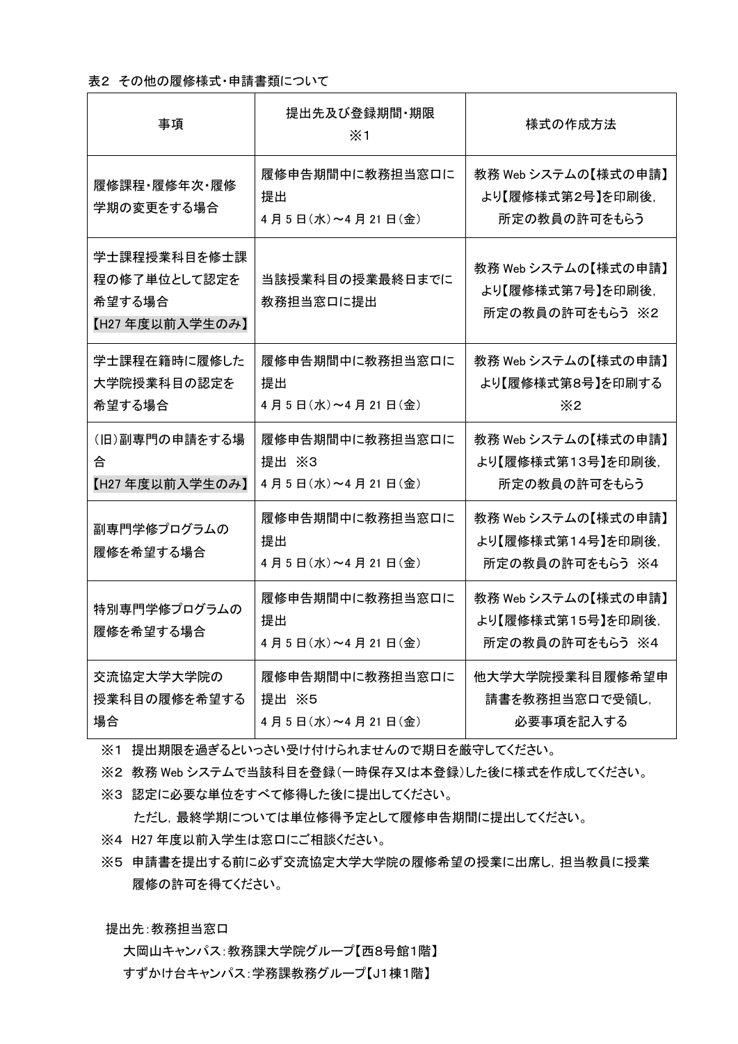## 表2 その他の履修様式・申請書類について

| 事項                                                       | 提出先及び登録期間・期限<br>$\times$ 1                   | 様式の作成方法                                                     |
|----------------------------------------------------------|----------------------------------------------|-------------------------------------------------------------|
| 履修課程·履修年次·履修<br>学期の変更をする場合                               | 履修申告期間中に教務担当窓口に<br>提出<br>4月5日(水)~4月21日(金)    | 教務 Web システムの【様式の申請】<br>より【履修様式第2号】を印刷後,<br>所定の教員の許可をもらう     |
| 学士課程授業科目を修士課<br>程の修了単位として認定を<br>希望する場合<br>【H27年度以前入学生のみ】 | 当該授業科目の授業最終日までに<br>教務担当窓口に提出                 | 教務 Web システムの【様式の申請】<br>より【履修様式第7号】を印刷後,<br>所定の教員の許可をもらう ※2  |
| 学士課程在籍時に履修した<br>大学院授業科目の認定を<br>希望する場合                    | 履修申告期間中に教務担当窓口に<br>提出<br>4月5日(水)~4月21日(金)    | 教務 Web システムの【様式の申請】<br>より【履修様式第8号】を印刷する<br>$\times 2$       |
| (旧)副専門の申請をする場<br>合<br>【H27年度以前入学生のみ】                     | 履修申告期間中に教務担当窓口に<br>提出 ※3<br>4月5日(水)~4月21日(金) | 教務 Web システムの【様式の申請】<br>より【履修様式第13号】を印刷後,<br>所定の教員の許可をもらう    |
| 副専門学修プログラムの<br>履修を希望する場合                                 | 履修申告期間中に教務担当窓口に<br>提出<br>4月5日(水)~4月21日(金)    | 教務 Web システムの【様式の申請】<br>より【履修様式第14号】を印刷後,<br>所定の教員の許可をもらう ※4 |
| 特別専門学修プログラムの<br>履修を希望する場合                                | 履修申告期間中に教務担当窓口に<br>提出<br>4月5日(水)~4月21日(金)    | 教務 Web システムの【様式の申請】<br>より【履修様式第15号】を印刷後,<br>所定の教員の許可をもらう ※4 |
| 交流協定大学大学院の<br>授業科目の履修を希望する<br>場合                         | 履修申告期間中に教務担当窓口に<br>提出 ※5<br>4月5日(水)~4月21日(金) | 他大学大学院授業科目履修希望申<br>請書を教務担当窓口で受領し,<br>必要事項を記入する              |

※1 提出期限を過ぎるといっさい受け付けられませんので期日を厳守してください。

※2 教務 Web システムで当該科目を登録(一時保存又は本登録)した後に様式を作成してください。

※3 認定に必要な単位をすべて修得した後に提出してください。

ただし,最終学期については単位修得予定として履修申告期間に提出してください。

- ※4 H27 年度以前入学生は窓口にご相談ください。
- ※5 申請書を提出する前に必ず交流協定大学大学院の履修希望の授業に出席し,担当教員に授業 履修の許可を得てください。

提出先:教務担当窓口

大岡山キャンパス:教務課大学院グループ【西8号館1階】 すずかけ台キャンパス:学務課教務グループ【J1棟1階】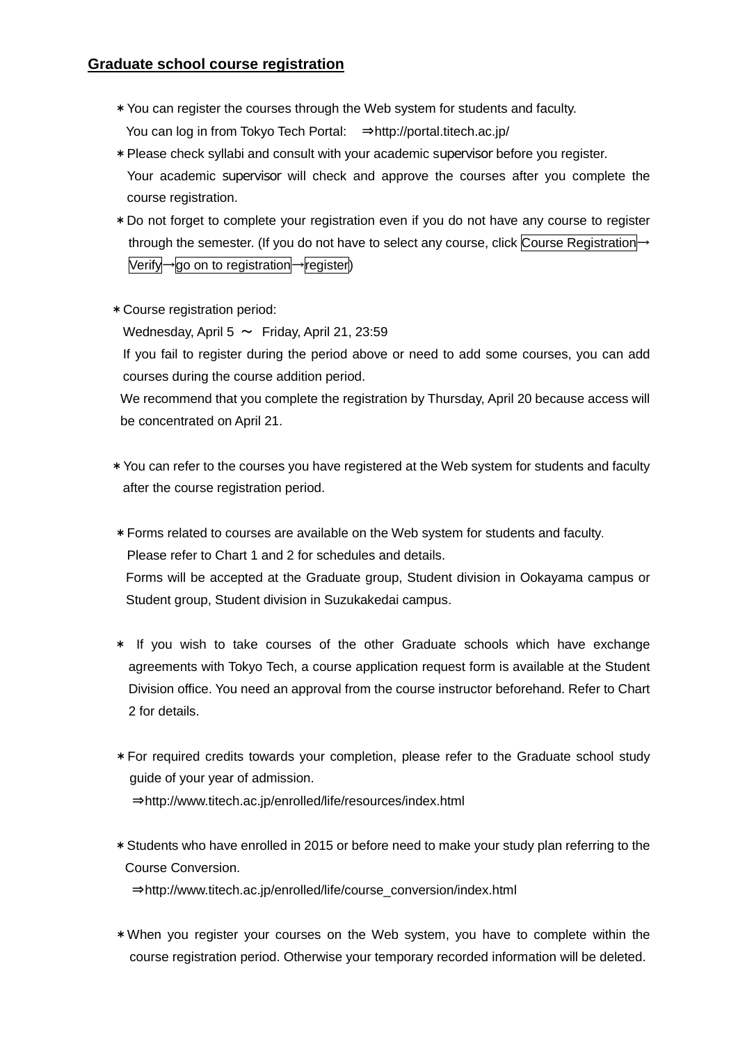## **Graduate school course registration**

- \*You can register the courses through the Web system for students and faculty. You can log in from Tokyo Tech Portal: ⇒http://portal.titech.ac.jp/
- \*Please check syllabi and consult with your academic supervisor before you register. Your academic supervisor will check and approve the courses after you complete the course registration.
- \*Do not forget to complete your registration even if you do not have any course to register through the semester. (If you do not have to select any course, click Course Registration→ Verify→go on to registration→register)
- \*Course registration period:

Wednesday, April 5  $\sim$  Friday, April 21, 23:59

If you fail to register during the period above or need to add some courses, you can add courses during the course addition period.

We recommend that you complete the registration by Thursday, April 20 because access will be concentrated on April 21.

- \*You can refer to the courses you have registered at the Web system for students and faculty after the course registration period.
- \*Forms related to courses are available on the Web system for students and faculty. Please refer to Chart 1 and 2 for schedules and details. Forms will be accepted at the Graduate group, Student division in Ookayama campus or Student group, Student division in Suzukakedai campus.
- \* If you wish to take courses of the other Graduate schools which have exchange agreements with Tokyo Tech, a course application request form is available at the Student Division office. You need an approval from the course instructor beforehand. Refer to Chart 2 for details.
- \*For required credits towards your completion, please refer to the Graduate school study guide of your year of admission. ⇒http://www.titech.ac.jp/enrolled/life/resources/index.html
- \*Students who have enrolled in 2015 or before need to make your study plan referring to the Course Conversion. ⇒http://www.titech.ac.jp/enrolled/life/course\_conversion/index.html
- \*When you register your courses on the Web system, you have to complete within the course registration period. Otherwise your temporary recorded information will be deleted.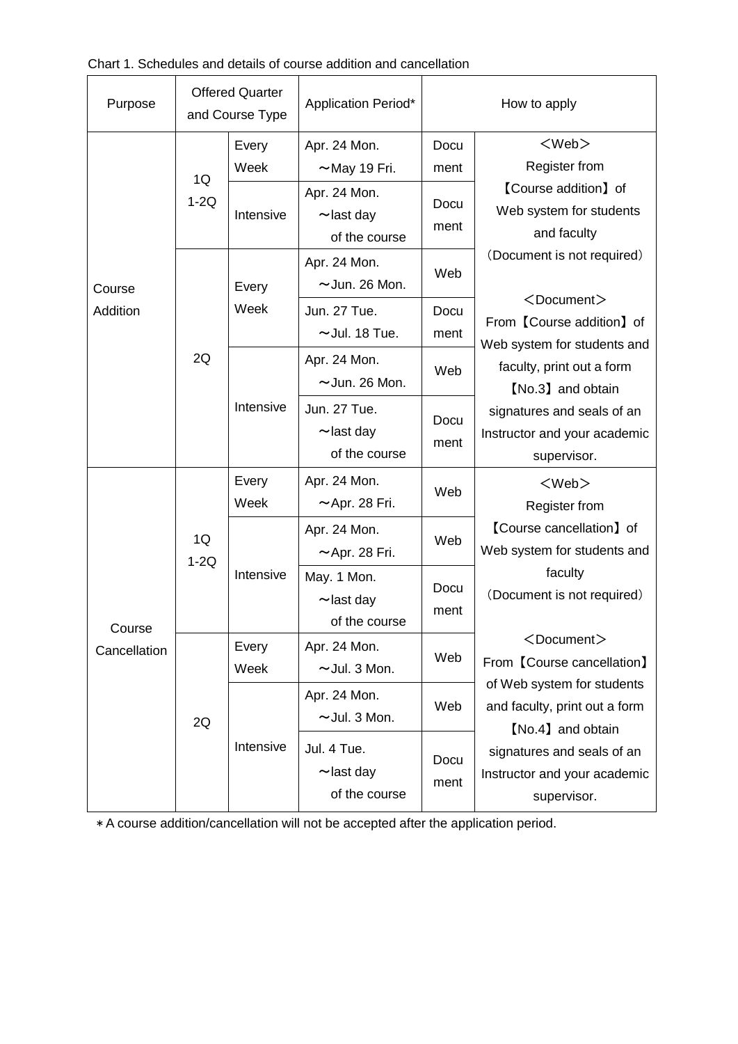| Purpose                | <b>Offered Quarter</b><br>and Course Type |                            | Application Period*                                                                     | How to apply                 |                                                                                                                                                                                                                                                                                                                                                                 |  |
|------------------------|-------------------------------------------|----------------------------|-----------------------------------------------------------------------------------------|------------------------------|-----------------------------------------------------------------------------------------------------------------------------------------------------------------------------------------------------------------------------------------------------------------------------------------------------------------------------------------------------------------|--|
| Course<br>Addition     | 1Q<br>$1-2Q$                              | Every<br>Week<br>Intensive | Apr. 24 Mon.<br>$~\sim$ May 19 Fri.<br>Apr. 24 Mon.<br>$\sim$ last day<br>of the course | Docu<br>ment<br>Docu<br>ment | $<$ Web $>$<br><b>Register from</b><br><b>[Course addition]</b> of<br>Web system for students<br>and faculty                                                                                                                                                                                                                                                    |  |
|                        | 2Q                                        | Every<br>Week              | Apr. 24 Mon.<br>$\sim$ Jun. 26 Mon.<br>Jun. 27 Tue.<br>$\sim$ Jul. 18 Tue.              | Web<br>Docu<br>ment          | (Document is not required)<br>$<$ Document $>$<br>From [Course addition] of<br>Web system for students and<br>faculty, print out a form<br>[No.3] and obtain<br>signatures and seals of an<br>Instructor and your academic<br>supervisor.                                                                                                                       |  |
|                        |                                           | Intensive                  | Apr. 24 Mon.<br>$\sim$ Jun. 26 Mon.<br>Jun. 27 Tue.<br>$\sim$ last day<br>of the course | Web<br>Docu<br>ment          |                                                                                                                                                                                                                                                                                                                                                                 |  |
| Course<br>Cancellation | 1Q<br>$1-2Q$                              | Every<br>Week              | Apr. 24 Mon.<br>$~\sim$ Apr. 28 Fri.                                                    | Web                          | $<$ Web $>$<br>Register from<br>[Course cancellation] of<br>Web system for students and<br>faculty<br>(Document is not required)<br><document><br/>From 【Course cancellation】<br/>of Web system for students<br/>and faculty, print out a form<br/>[No.4] and obtain<br/>signatures and seals of an<br/>Instructor and your academic<br/>supervisor.</document> |  |
|                        |                                           | Intensive                  | Apr. 24 Mon.<br>$\sim$ Apr. 28 Fri.                                                     | Web                          |                                                                                                                                                                                                                                                                                                                                                                 |  |
|                        |                                           |                            | May. 1 Mon.<br>$\sim$ last day<br>of the course                                         | Docu<br>ment                 |                                                                                                                                                                                                                                                                                                                                                                 |  |
|                        | 2Q                                        | Every<br>Week              | Apr. 24 Mon.<br>$\sim$ Jul. 3 Mon.                                                      | Web                          |                                                                                                                                                                                                                                                                                                                                                                 |  |
|                        |                                           | Intensive                  | Apr. 24 Mon.<br>$\sim$ Jul. 3 Mon.                                                      | Web                          |                                                                                                                                                                                                                                                                                                                                                                 |  |
|                        |                                           |                            | Jul. 4 Tue.<br>$\sim$ last day<br>of the course                                         | Docu<br>ment                 |                                                                                                                                                                                                                                                                                                                                                                 |  |

\* A course addition/cancellation will not be accepted after the application period.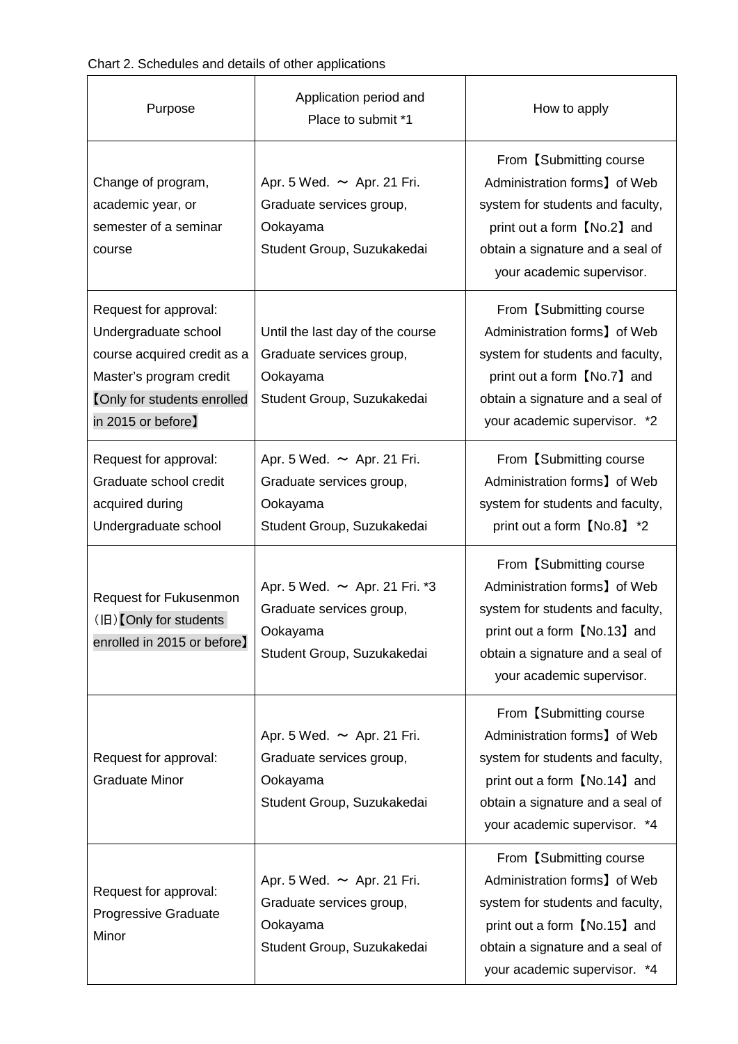Chart 2. Schedules and details of other applications

| Purpose                                                                                                                                                             | Application period and<br>Place to submit *1                                                             | How to apply                                                                                                                                                                                     |
|---------------------------------------------------------------------------------------------------------------------------------------------------------------------|----------------------------------------------------------------------------------------------------------|--------------------------------------------------------------------------------------------------------------------------------------------------------------------------------------------------|
| Change of program,<br>academic year, or<br>semester of a seminar<br>course                                                                                          | Apr. 5 Wed. $\sim$ Apr. 21 Fri.<br>Graduate services group,<br>Ookayama<br>Student Group, Suzukakedai    | From [Submitting course]<br>Administration forms] of Web<br>system for students and faculty,<br>print out a form [No.2] and<br>obtain a signature and a seal of<br>your academic supervisor.     |
| Request for approval:<br>Undergraduate school<br>course acquired credit as a<br>Master's program credit<br><b>[Only for students enrolled</b><br>in 2015 or before] | Until the last day of the course<br>Graduate services group,<br>Ookayama<br>Student Group, Suzukakedai   | From [Submitting course]<br>Administration forms] of Web<br>system for students and faculty,<br>print out a form [No.7] and<br>obtain a signature and a seal of<br>your academic supervisor. *2  |
| Request for approval:<br>Graduate school credit<br>acquired during<br>Undergraduate school                                                                          | Apr. 5 Wed. $\sim$ Apr. 21 Fri.<br>Graduate services group,<br>Ookayama<br>Student Group, Suzukakedai    | From [Submitting course]<br>Administration forms] of Web<br>system for students and faculty,<br>print out a form [No.8] *2                                                                       |
| Request for Fukusenmon<br>$(H)$ [Only for students<br>enrolled in 2015 or before]                                                                                   | Apr. 5 Wed. $\sim$ Apr. 21 Fri. *3<br>Graduate services group,<br>Ookayama<br>Student Group, Suzukakedai | From [Submitting course]<br>Administration forms] of Web<br>system for students and faculty,<br>print out a form 【No.13】 and<br>obtain a signature and a seal of<br>your academic supervisor.    |
| Request for approval:<br><b>Graduate Minor</b>                                                                                                                      | Apr. 5 Wed. $\sim$ Apr. 21 Fri.<br>Graduate services group,<br>Ookayama<br>Student Group, Suzukakedai    | From [Submitting course]<br>Administration forms, of Web<br>system for students and faculty,<br>print out a form [No.14] and<br>obtain a signature and a seal of<br>your academic supervisor. *4 |
| Request for approval:<br>Progressive Graduate<br>Minor                                                                                                              | Apr. 5 Wed. $\sim$ Apr. 21 Fri.<br>Graduate services group,<br>Ookayama<br>Student Group, Suzukakedai    | From [Submitting course]<br>Administration forms] of Web<br>system for students and faculty,<br>print out a form [No.15] and<br>obtain a signature and a seal of<br>your academic supervisor. *4 |